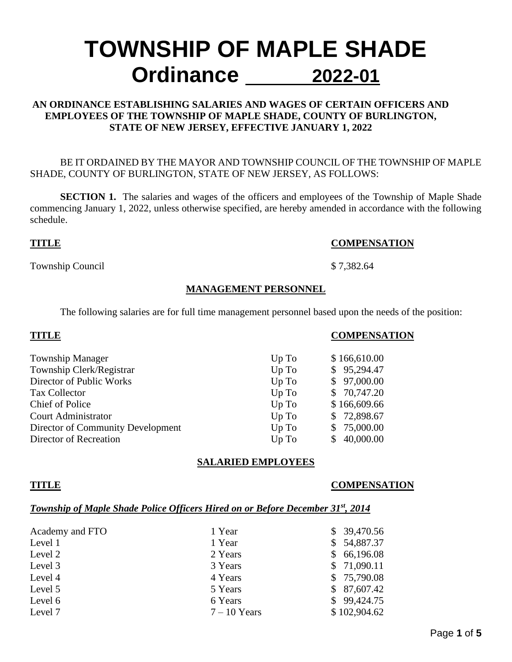# **TOWNSHIP OF MAPLE SHADE Ordinance 2022-01**

### **AN ORDINANCE ESTABLISHING SALARIES AND WAGES OF CERTAIN OFFICERS AND EMPLOYEES OF THE TOWNSHIP OF MAPLE SHADE, COUNTY OF BURLINGTON, STATE OF NEW JERSEY, EFFECTIVE JANUARY 1, 2022**

#### BE IT ORDAINED BY THE MAYOR AND TOWNSHIP COUNCIL OF THE TOWNSHIP OF MAPLE SHADE, COUNTY OF BURLINGTON, STATE OF NEW JERSEY, AS FOLLOWS:

**SECTION 1.** The salaries and wages of the officers and employees of the Township of Maple Shade commencing January 1, 2022, unless otherwise specified, are hereby amended in accordance with the following schedule.

#### **TITLE COMPENSATION**

Township Council \$ 7,382.64

# **MANAGEMENT PERSONNEL**

The following salaries are for full time management personnel based upon the needs of the position:

| <b>TITLE</b>                      |       | <b>COMPENSATION</b> |
|-----------------------------------|-------|---------------------|
| <b>Township Manager</b>           | Up To | \$166,610.00        |
| Township Clerk/Registrar          | Up To | \$95,294.47         |
| Director of Public Works          | Up To | \$97,000.00         |
| <b>Tax Collector</b>              | Up To | \$70,747.20         |
| Chief of Police                   | Up To | \$166,609.66        |
| <b>Court Administrator</b>        | Up To | \$72,898.67         |
| Director of Community Development | Up To | 75,000.00<br>S.     |
| Director of Recreation            | Up To | 40,000.00           |

# **SALARIED EMPLOYEES**

#### **TITLE COMPENSATION**

#### *Township of Maple Shade Police Officers Hired on or Before December 31st, 2014*

| Academy and FTO | 1 Year         | \$39,470.56  |
|-----------------|----------------|--------------|
| Level 1         | 1 Year         | \$54,887.37  |
| Level 2         | 2 Years        | \$66,196.08  |
| Level 3         | 3 Years        | \$71,090.11  |
| Level 4         | 4 Years        | \$75,790.08  |
| Level 5         | 5 Years        | \$87,607.42  |
| Level 6         | 6 Years        | \$99,424.75  |
| Level 7         | $7 - 10$ Years | \$102,904.62 |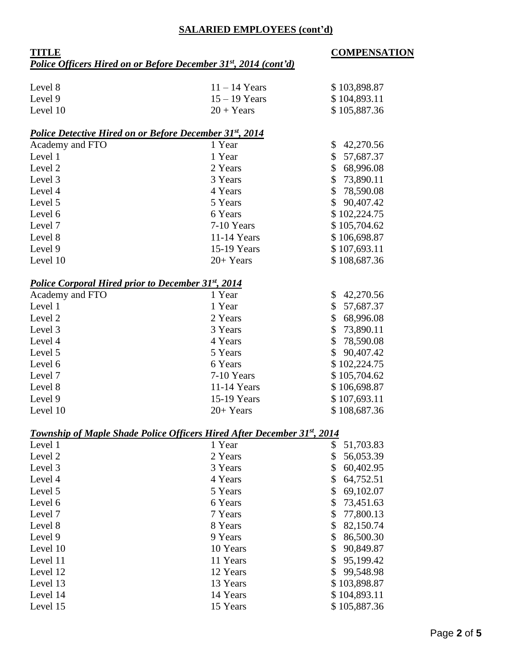### **SALARIED EMPLOYEES (cont'd)**

### **TITLE COMPENSATION** *Police Officers Hired on or Before December 31st , 2014 (cont'd)*

| Level 8  | $11 - 14$ Years | \$103,898.87 |
|----------|-----------------|--------------|
| Level 9  | $15 - 19$ Years | \$104,893.11 |
| Level 10 | $20 + Years$    | \$105,887.36 |

#### *Police Detective Hired on or Before December 31st, 2014*

| Academy and FTO | 1 Year        | \$42,270.56  |
|-----------------|---------------|--------------|
| Level 1         | 1 Year        | \$57,687.37  |
| Level 2         | 2 Years       | 68,996.08    |
| Level 3         | 3 Years       | \$73,890.11  |
| Level 4         | 4 Years       | \$78,590.08  |
| Level 5         | 5 Years       | \$90,407.42  |
| Level 6         | 6 Years       | \$102,224.75 |
| Level 7         | 7-10 Years    | \$105,704.62 |
| Level 8         | $11-14$ Years | \$106,698.87 |
| Level 9         | 15-19 Years   | \$107,693.11 |
| Level 10        | $20+Years$    | \$108,687.36 |

### *Police Corporal Hired prior to December 31st, 2014*

| Academy and FTO | 1 Year        | \$42,270.56     |
|-----------------|---------------|-----------------|
| Level 1         | 1 Year        | \$57,687.37     |
| Level 2         | 2 Years       | 68,996.08<br>S. |
| Level 3         | 3 Years       | \$73,890.11     |
| Level 4         | 4 Years       | \$78,590.08     |
| Level 5         | 5 Years       | \$90,407.42     |
| Level 6         | 6 Years       | \$102,224.75    |
| Level 7         | 7-10 Years    | \$105,704.62    |
| Level 8         | $11-14$ Years | \$106,698.87    |
| Level 9         | 15-19 Years   | \$107,693.11    |
| Level 10        | $20+Years$    | \$108,687.36    |

### *Township of Maple Shade Police Officers Hired After December 31st, 2014*

| Level 1  | 1 Year   | \$ | 51,703.83    |
|----------|----------|----|--------------|
| Level 2  | 2 Years  | \$ | 56,053.39    |
| Level 3  | 3 Years  | \$ | 60,402.95    |
| Level 4  | 4 Years  | \$ | 64,752.51    |
| Level 5  | 5 Years  | \$ | 69,102.07    |
| Level 6  | 6 Years  | \$ | 73,451.63    |
| Level 7  | 7 Years  | S. | 77,800.13    |
| Level 8  | 8 Years  | \$ | 82,150.74    |
| Level 9  | 9 Years  | \$ | 86,500.30    |
| Level 10 | 10 Years | \$ | 90,849.87    |
| Level 11 | 11 Years | \$ | 95,199.42    |
| Level 12 | 12 Years | \$ | 99,548.98    |
| Level 13 | 13 Years |    | \$103,898.87 |
| Level 14 | 14 Years |    | \$104,893.11 |
| Level 15 | 15 Years |    | \$105,887.36 |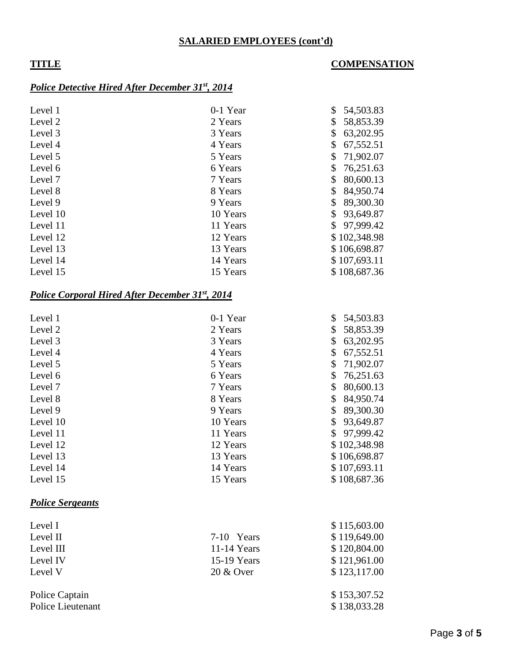### **SALARIED EMPLOYEES (cont'd)**

#### **TITLE COMPENSATION**

#### *Police Detective Hired After December 31st , 2014*

| Level 1  | 0-1 Year | \$<br>54,503.83 |
|----------|----------|-----------------|
| Level 2  | 2 Years  | \$<br>58,853.39 |
| Level 3  | 3 Years  | 63,202.95<br>\$ |
| Level 4  | 4 Years  | 67,552.51       |
| Level 5  | 5 Years  | 71,902.07<br>\$ |
| Level 6  | 6 Years  | 76,251.63       |
| Level 7  | 7 Years  | 80,600.13       |
| Level 8  | 8 Years  | 84,950.74       |
| Level 9  | 9 Years  | 89,300.30       |
| Level 10 | 10 Years | 93,649.87       |
| Level 11 | 11 Years | 97,999.42<br>\$ |
| Level 12 | 12 Years | \$102,348.98    |
| Level 13 | 13 Years | \$106,698.87    |
| Level 14 | 14 Years | \$107,693.11    |
| Level 15 | 15 Years | \$108,687.36    |

#### *Police Corporal Hired After December 31st, 2014*

| Level 1  | 0-1 Year | \$<br>54,503.83 |
|----------|----------|-----------------|
| Level 2  | 2 Years  | \$<br>58,853.39 |
| Level 3  | 3 Years  | \$<br>63,202.95 |
| Level 4  | 4 Years  | \$<br>67,552.51 |
| Level 5  | 5 Years  | \$<br>71,902.07 |
| Level 6  | 6 Years  | \$<br>76,251.63 |
| Level 7  | 7 Years  | \$<br>80,600.13 |
| Level 8  | 8 Years  | \$<br>84,950.74 |
| Level 9  | 9 Years  | \$<br>89,300.30 |
| Level 10 | 10 Years | \$<br>93,649.87 |
| Level 11 | 11 Years | \$97,999.42     |
| Level 12 | 12 Years | \$102,348.98    |
| Level 13 | 13 Years | \$106,698.87    |
| Level 14 | 14 Years | \$107,693.11    |
| Level 15 | 15 Years | \$108,687.36    |

# *Police Sergeants*

| Level I        |               | \$115,603.00 |
|----------------|---------------|--------------|
| Level II       | 7-10 Years    | \$119,649.00 |
| Level III      | $11-14$ Years | \$120,804.00 |
| Level IV       | 15-19 Years   | \$121,961.00 |
| Level V        | $20 \& Qver$  | \$123,117.00 |
| Police Captain |               | \$153,307.52 |

Police Lieutenant \$ 138,033.28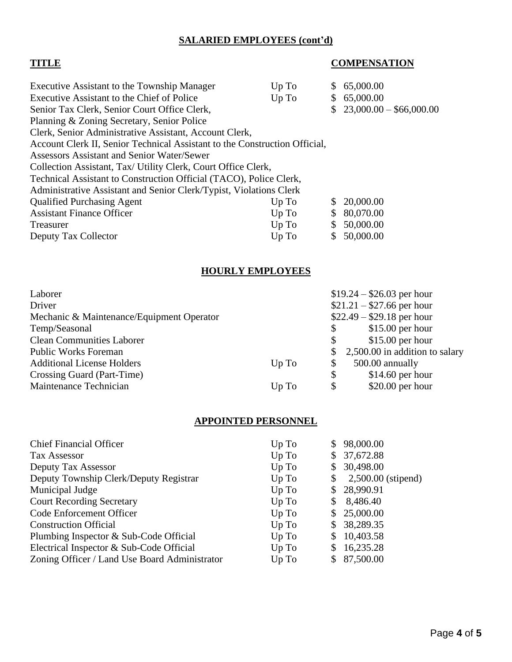# **SALARIED EMPLOYEES (cont'd)**

# **TITLE COMPENSATION**

| Executive Assistant to the Township Manager                                | Up To   | S. | 65,000.00                 |
|----------------------------------------------------------------------------|---------|----|---------------------------|
| Executive Assistant to the Chief of Police                                 | Up To   |    | \$65,000.00               |
| Senior Tax Clerk, Senior Court Office Clerk,                               |         |    | $$23,000.00 - $66,000.00$ |
| Planning & Zoning Secretary, Senior Police                                 |         |    |                           |
| Clerk, Senior Administrative Assistant, Account Clerk,                     |         |    |                           |
| Account Clerk II, Senior Technical Assistant to the Construction Official, |         |    |                           |
| Assessors Assistant and Senior Water/Sewer                                 |         |    |                           |
| Collection Assistant, Tax/ Utility Clerk, Court Office Clerk,              |         |    |                           |
| Technical Assistant to Construction Official (TACO), Police Clerk,         |         |    |                           |
| Administrative Assistant and Senior Clerk/Typist, Violations Clerk         |         |    |                           |
| <b>Qualified Purchasing Agent</b>                                          | Up To   |    | \$20,000.00               |
| <b>Assistant Finance Officer</b>                                           | $Up$ To | \$ | 80,070.00                 |
| Treasurer                                                                  | $Up$ To | \$ | 50,000.00                 |
| Deputy Tax Collector                                                       | Up To   | \$ | 50,000.00                 |

# **HOURLY EMPLOYEES**

| $$21.21 - $27.66$ per hour<br>Driver                                    |  |
|-------------------------------------------------------------------------|--|
|                                                                         |  |
| $$22.49 - $29.18$ per hour<br>Mechanic & Maintenance/Equipment Operator |  |
| $$15.00$ per hour<br>Temp/Seasonal<br>$\mathcal{S}$                     |  |
| <b>Clean Communities Laborer</b><br>$$15.00$ per hour<br>\$             |  |
| 2,500.00 in addition to salary<br><b>Public Works Foreman</b><br>\$     |  |
| <b>Additional License Holders</b><br>500.00 annually<br>\$<br>Up To     |  |
| Crossing Guard (Part-Time)<br>$$14.60$ per hour<br>\$                   |  |
| Maintenance Technician<br>$$20.00$ per hour<br>\$<br>Up To              |  |

# **APPOINTED PERSONNEL**

| <b>Chief Financial Officer</b>                | Up To | S. | 98,000.00          |
|-----------------------------------------------|-------|----|--------------------|
| <b>Tax Assessor</b>                           | Up To |    | \$37,672.88        |
| Deputy Tax Assessor                           | Up To | S. | 30,498.00          |
| Deputy Township Clerk/Deputy Registrar        | Up To | \$ | 2,500.00 (stipend) |
| Municipal Judge                               | Up To |    | \$28,990.91        |
| <b>Court Recording Secretary</b>              | Up To | \$ | 8,486.40           |
| Code Enforcement Officer                      | Up To |    | \$25,000.00        |
| <b>Construction Official</b>                  | Up To | S. | 38,289.35          |
| Plumbing Inspector & Sub-Code Official        | Up To | S. | 10,403.58          |
| Electrical Inspector & Sub-Code Official      | Up To | \$ | 16,235.28          |
| Zoning Officer / Land Use Board Administrator | Up To |    | 87,500.00          |